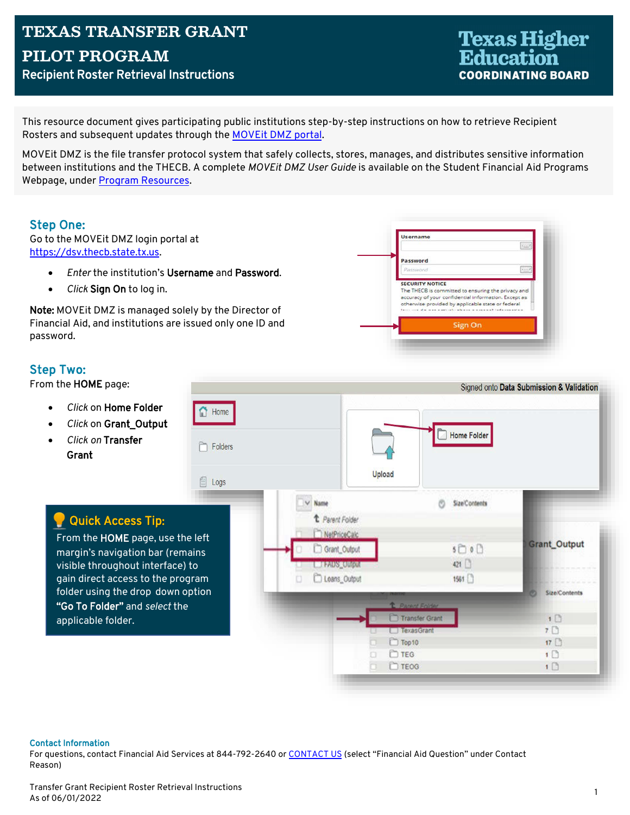**Texas Higher<br>Education COORDINATING BOARD** 

This resource document gives participating public institutions step-by-step instructions on how to retrieve Recipient Rosters and subsequent updates through the MOVEit DMZ portal.

MOVEIt DMZ is the file transfer protocol system that safely collects, stores, manages, and distributes sensitive information between institutions and the THECB. A complete MOVEit DMZ User Guide is available on the Student Financial Aid Programs Webpage, under Program Resources.

## **Step One:**

Go to the MOVEit DMZ login portal at https://dsv.thecb.state.tx.us.

- Enter the institution's Username and Password.
- Click Sign On to log in.  $\bullet$

Note: MOVEIt DMZ is managed solely by the Director of Financial Aid, and institutions are issued only one ID and password.



## **Step Two:**

From the HOME page:

- Click on Home Folder
- Click on Grant Output
- Click on Transfer Grant



#### **Contact Information**

For questions, contact Financial Aid Services at 844-792-2640 or CONTACT US (select "Financial Aid Question" under Contact Reason)